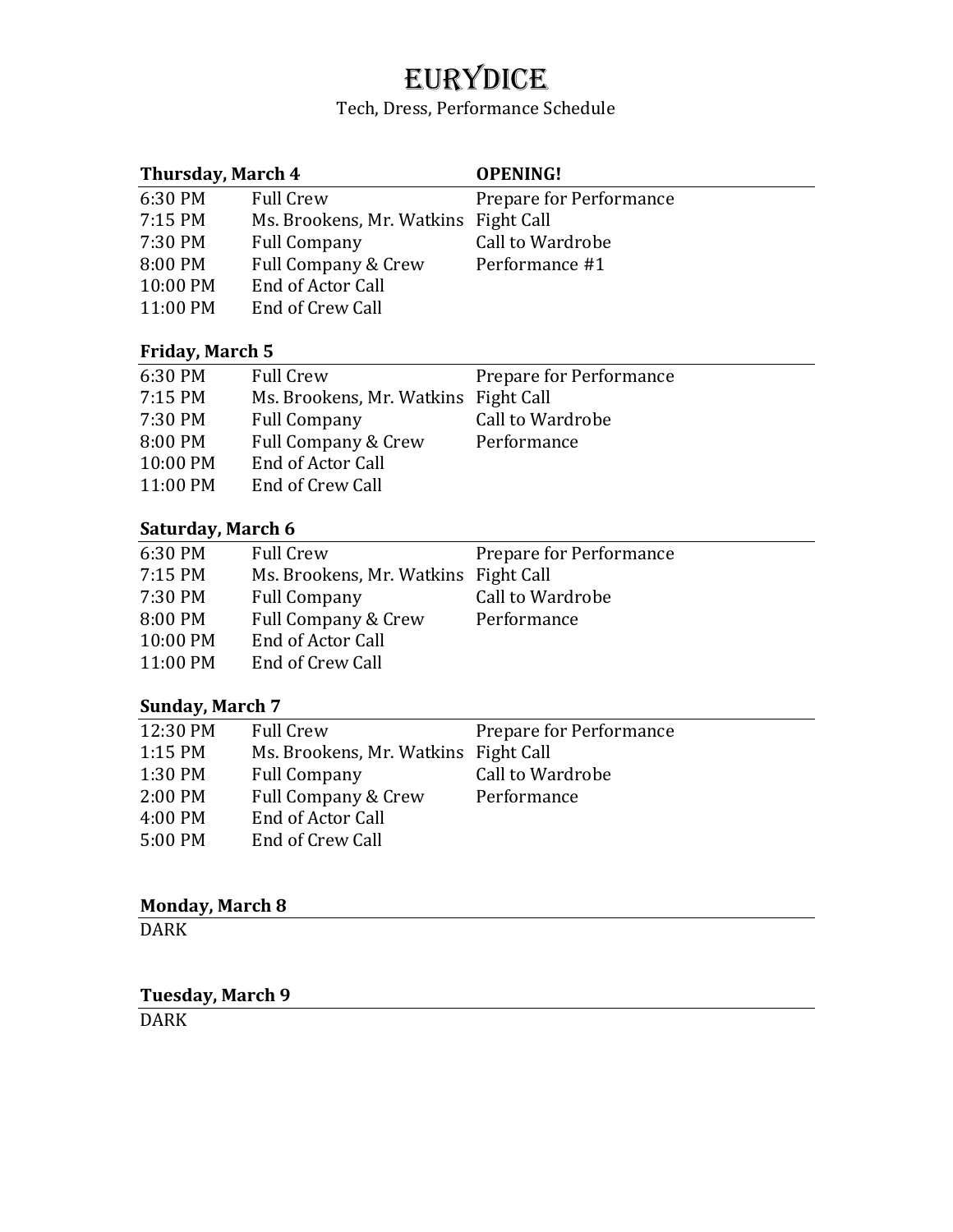## **EURYDICE**

## Tech, Dress, Performance Schedule

| <b>Thursday, March 4</b> |                                      | <b>OPENING!</b>         |
|--------------------------|--------------------------------------|-------------------------|
| 6:30 PM                  | <b>Full Crew</b>                     | Prepare for Performance |
| 7:15 PM                  | Ms. Brookens, Mr. Watkins Fight Call |                         |
| 7:30 PM                  | <b>Full Company</b>                  | Call to Wardrobe        |
| 8:00 PM                  | <b>Full Company &amp; Crew</b>       | Performance #1          |
| 10:00 PM                 | End of Actor Call                    |                         |
| 11:00 PM                 | End of Crew Call                     |                         |
| <b>Friday, March 5</b>   |                                      |                         |
| $6.30$ PM                | Full Crew                            | Prenare for Performance |

| <b>Full Crew</b>                     | Prepare for Performance |
|--------------------------------------|-------------------------|
| Ms. Brookens, Mr. Watkins Fight Call |                         |
| <b>Full Company</b>                  | Call to Wardrobe        |
| Full Company & Crew                  | Performance             |
| End of Actor Call                    |                         |
| End of Crew Call                     |                         |
|                                      |                         |

#### **Saturday, March 6**

| 6:30 PM   | <b>Full Crew</b>                     | Prepare for Performance |  |
|-----------|--------------------------------------|-------------------------|--|
| $7:15$ PM | Ms. Brookens, Mr. Watkins Fight Call |                         |  |
| 7:30 PM   | <b>Full Company</b>                  | Call to Wardrobe        |  |
| 8:00 PM   | <b>Full Company &amp; Crew</b>       | Performance             |  |
| 10:00 PM  | End of Actor Call                    |                         |  |
| 11:00 PM  | End of Crew Call                     |                         |  |
|           |                                      |                         |  |

## **Sunday, March 7**

| 12:30 PM  | <b>Full Crew</b>                     | Prepare for Performance |
|-----------|--------------------------------------|-------------------------|
| $1:15$ PM | Ms. Brookens, Mr. Watkins Fight Call |                         |
| 1:30 PM   | <b>Full Company</b>                  | Call to Wardrobe        |
| $2:00$ PM | <b>Full Company &amp; Crew</b>       | Performance             |
| 4:00 PM   | End of Actor Call                    |                         |
| 5:00 PM   | End of Crew Call                     |                         |

### **Monday, March 8**

DARK

## **Tuesday, March 9**

DARK